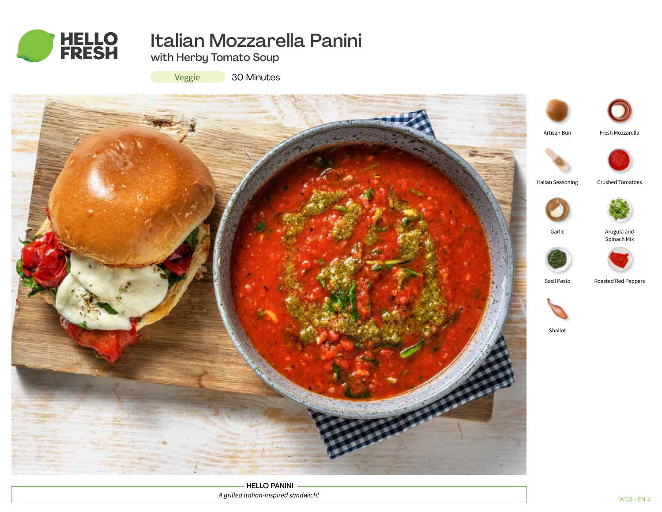

# Italian Mozzarella Panini

with Herby Tomato Soup

Veggie

30 Minutes



HELLO PANINI *A grilled Italian-inspired sandwich!*